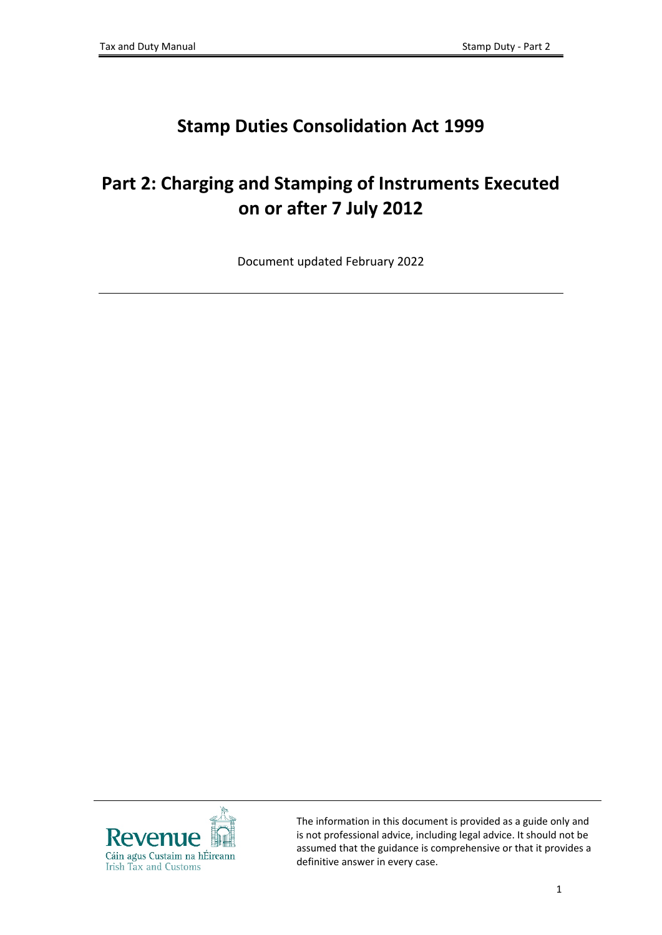# **Stamp Duties Consolidation Act 1999**

# **Part 2: Charging and Stamping of Instruments Executed on or after 7 July 2012**

Document updated February 2022



The information in this document is provided as a guide only and is not professional advice, including legal advice. It should not be assumed that the guidance is comprehensive or that it provides a definitive answer in every case.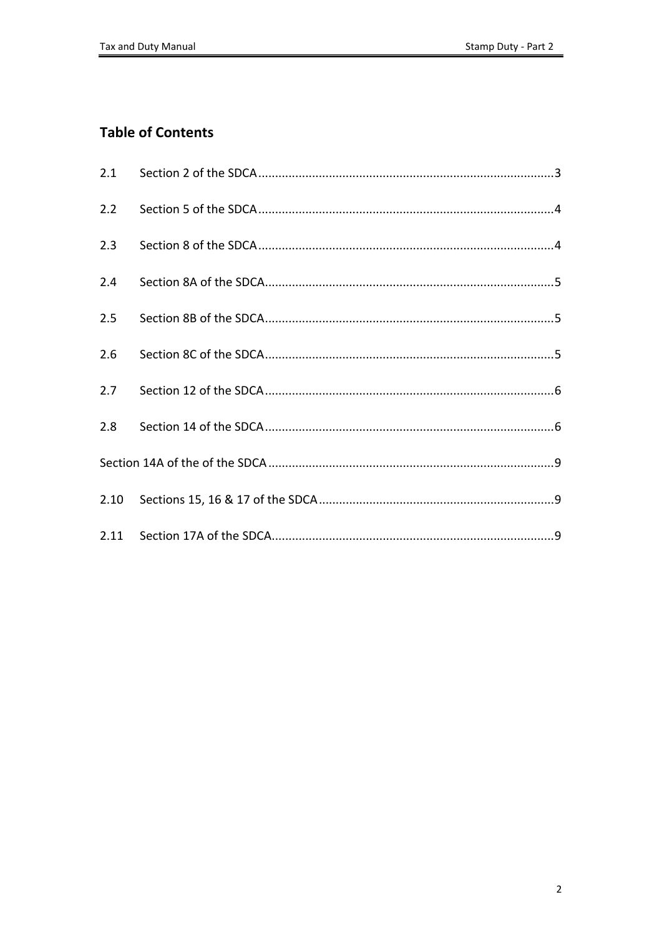### **Table of Contents**

| 2.1  |  |  |
|------|--|--|
| 2.2  |  |  |
| 2.3  |  |  |
| 2.4  |  |  |
| 2.5  |  |  |
| 2.6  |  |  |
| 2.7  |  |  |
| 2.8  |  |  |
|      |  |  |
| 2.10 |  |  |
|      |  |  |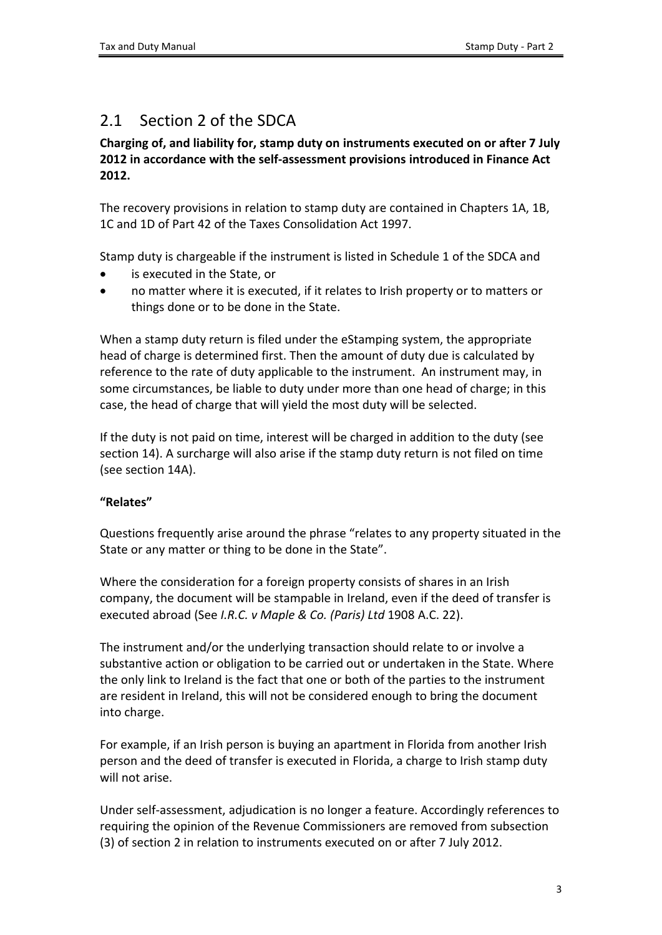## <span id="page-2-0"></span>2.1 Section 2 of the SDCA

#### **Charging of, and liability for, stamp duty on instruments executed on or after 7 July 2012 in accordance with the self-assessment provisions introduced in Finance Act 2012.**

The recovery provisions in relation to stamp duty are contained in Chapters 1A, 1B, 1C and 1D of Part 42 of the Taxes Consolidation Act 1997.

Stamp duty is chargeable if the instrument is listed in Schedule 1 of the SDCA and

- is executed in the State, or
- no matter where it is executed, if it relates to Irish property or to matters or things done or to be done in the State.

When a stamp duty return is filed under the eStamping system, the appropriate head of charge is determined first. Then the amount of duty due is calculated by reference to the rate of duty applicable to the instrument. An instrument may, in some circumstances, be liable to duty under more than one head of charge; in this case, the head of charge that will yield the most duty will be selected.

If the duty is not paid on time, interest will be charged in addition to the duty (see section 14). A surcharge will also arise if the stamp duty return is not filed on time (see section 14A).

### **"Relates"**

Questions frequently arise around the phrase "relates to any property situated in the State or any matter or thing to be done in the State".

Where the consideration for a foreign property consists of shares in an Irish company, the document will be stampable in Ireland, even if the deed of transfer is executed abroad (See *I.R.C. v Maple & Co. (Paris) Ltd* 1908 A.C. 22).

The instrument and/or the underlying transaction should relate to or involve a substantive action or obligation to be carried out or undertaken in the State. Where the only link to Ireland is the fact that one or both of the parties to the instrument are resident in Ireland, this will not be considered enough to bring the document into charge.

For example, if an Irish person is buying an apartment in Florida from another Irish person and the deed of transfer is executed in Florida, a charge to Irish stamp duty will not arise.

Under self-assessment, adjudication is no longer a feature. Accordingly references to requiring the opinion of the Revenue Commissioners are removed from subsection (3) of section 2 in relation to instruments executed on or after 7 July 2012.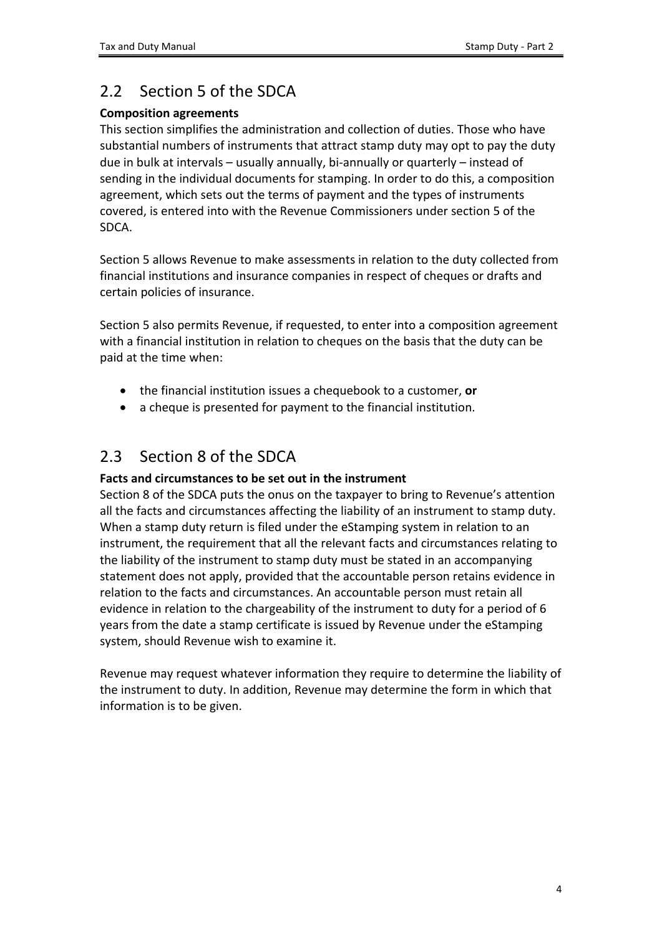## <span id="page-3-0"></span>2.2 Section 5 of the SDCA

### **Composition agreements**

This section simplifies the administration and collection of duties. Those who have substantial numbers of instruments that attract stamp duty may opt to pay the duty due in bulk at intervals – usually annually, bi-annually or quarterly – instead of sending in the individual documents for stamping. In order to do this, a composition agreement, which sets out the terms of payment and the types of instruments covered, is entered into with the Revenue Commissioners under section 5 of the SDCA.

Section 5 allows Revenue to make assessments in relation to the duty collected from financial institutions and insurance companies in respect of cheques or drafts and certain policies of insurance.

Section 5 also permits Revenue, if requested, to enter into a composition agreement with a financial institution in relation to cheques on the basis that the duty can be paid at the time when:

- the financial institution issues a chequebook to a customer, **or**
- a cheque is presented for payment to the financial institution.

## <span id="page-3-1"></span>2.3 Section 8 of the SDCA

### **Facts and circumstances to be set out in the instrument**

Section 8 of the SDCA puts the onus on the taxpayer to bring to Revenue's attention all the facts and circumstances affecting the liability of an instrument to stamp duty. When a stamp duty return is filed under the eStamping system in relation to an instrument, the requirement that all the relevant facts and circumstances relating to the liability of the instrument to stamp duty must be stated in an accompanying statement does not apply, provided that the accountable person retains evidence in relation to the facts and circumstances. An accountable person must retain all evidence in relation to the chargeability of the instrument to duty for a period of 6 years from the date a stamp certificate is issued by Revenue under the eStamping system, should Revenue wish to examine it.

Revenue may request whatever information they require to determine the liability of the instrument to duty. In addition, Revenue may determine the form in which that information is to be given.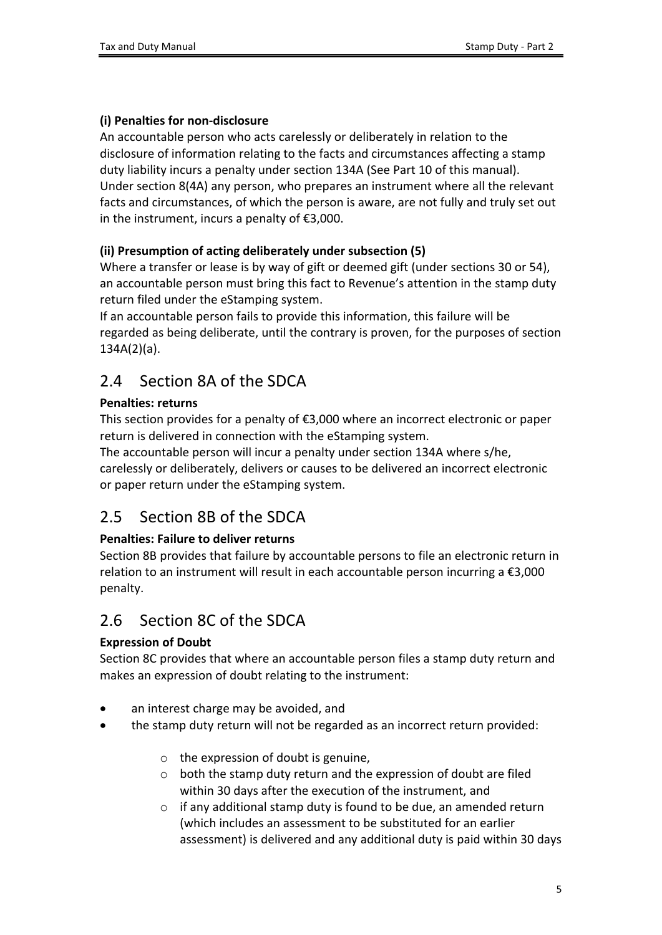#### **(i) Penalties for non-disclosure**

An accountable person who acts carelessly or deliberately in relation to the disclosure of information relating to the facts and circumstances affecting a stamp duty liability incurs a penalty under section 134A (See [Part](http://www.revenue.ie/en/about/foi/s16/stamp-duty/part-10.pdf?download=true) [10](http://www.revenue.ie/en/about/foi/s16/stamp-duty/part-10.pdf?download=true) of this manual). Under section 8(4A) any person, who prepares an instrument where all the relevant facts and circumstances, of which the person is aware, are not fully and truly set out in the instrument, incurs a penalty of €3,000.

#### **(ii) Presumption of acting deliberately under subsection (5)**

Where a transfer or lease is by way of gift or deemed gift (under sections 30 or 54), an accountable person must bring this fact to Revenue's attention in the stamp duty return filed under the eStamping system.

If an accountable person fails to provide this information, this failure will be regarded as being deliberate, until the contrary is proven, for the purposes of section 134A(2)(a).

### <span id="page-4-0"></span>2.4 Section 8A of the SDCA

#### **Penalties: returns**

This section provides for a penalty of €3,000 where an incorrect electronic or paper return is delivered in connection with the eStamping system.

The accountable person will incur a penalty under section 134A where s/he, carelessly or deliberately, delivers or causes to be delivered an incorrect electronic or paper return under the eStamping system.

### <span id="page-4-1"></span>2.5 Section 8B of the SDCA

### **Penalties: Failure to deliver returns**

Section 8B provides that failure by accountable persons to file an electronic return in relation to an instrument will result in each accountable person incurring a  $\epsilon$ 3,000 penalty.

### <span id="page-4-2"></span>2.6 Section 8C of the SDCA

### **Expression of Doubt**

Section 8C provides that where an accountable person files a stamp duty return and makes an expression of doubt relating to the instrument:

- an interest charge may be avoided, and
- the stamp duty return will not be regarded as an incorrect return provided:
	- $\circ$  the expression of doubt is genuine,
	- o both the stamp duty return and the expression of doubt are filed within 30 days after the execution of the instrument, and
	- o if any additional stamp duty is found to be due, an amended return (which includes an assessment to be substituted for an earlier assessment) is delivered and any additional duty is paid within 30 days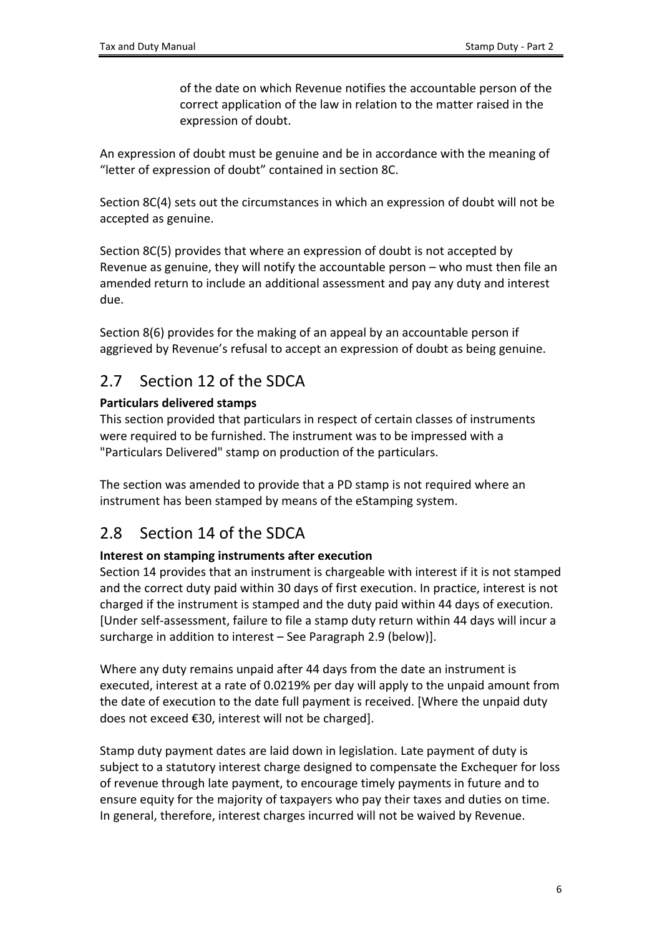of the date on which Revenue notifies the accountable person of the correct application of the law in relation to the matter raised in the expression of doubt.

An expression of doubt must be genuine and be in accordance with the meaning of "letter of expression of doubt" contained in section 8C.

Section 8C(4) sets out the circumstances in which an expression of doubt will not be accepted as genuine.

Section 8C(5) provides that where an expression of doubt is not accepted by Revenue as genuine, they will notify the accountable person – who must then file an amended return to include an additional assessment and pay any duty and interest due.

Section 8(6) provides for the making of an appeal by an accountable person if aggrieved by Revenue's refusal to accept an expression of doubt as being genuine.

## <span id="page-5-0"></span>2.7 Section 12 of the SDCA

### **Particulars delivered stamps**

This section provided that particulars in respect of certain classes of instruments were required to be furnished. The instrument was to be impressed with a "Particulars Delivered" stamp on production of the particulars.

The section was amended to provide that a PD stamp is not required where an instrument has been stamped by means of the eStamping system.

## <span id="page-5-1"></span>2.8 Section 14 of the SDCA

### **Interest on stamping instruments after execution**

Section 14 provides that an instrument is chargeable with interest if it is not stamped and the correct duty paid within 30 days of first execution. In practice, interest is not charged if the instrument is stamped and the duty paid within 44 days of execution. [Under self-assessment, failure to file a stamp duty return within 44 days will incur a surcharge in addition to interest – See Paragraph 2.9 (below)].

Where any duty remains unpaid after 44 days from the date an instrument is executed, interest at a rate of 0.0219% per day will apply to the unpaid amount from the date of execution to the date full payment is received. [Where the unpaid duty does not exceed €30, interest will not be charged].

Stamp duty payment dates are laid down in legislation. Late payment of duty is subject to a statutory interest charge designed to compensate the Exchequer for loss of revenue through late payment, to encourage timely payments in future and to ensure equity for the majority of taxpayers who pay their taxes and duties on time. In general, therefore, interest charges incurred will not be waived by Revenue.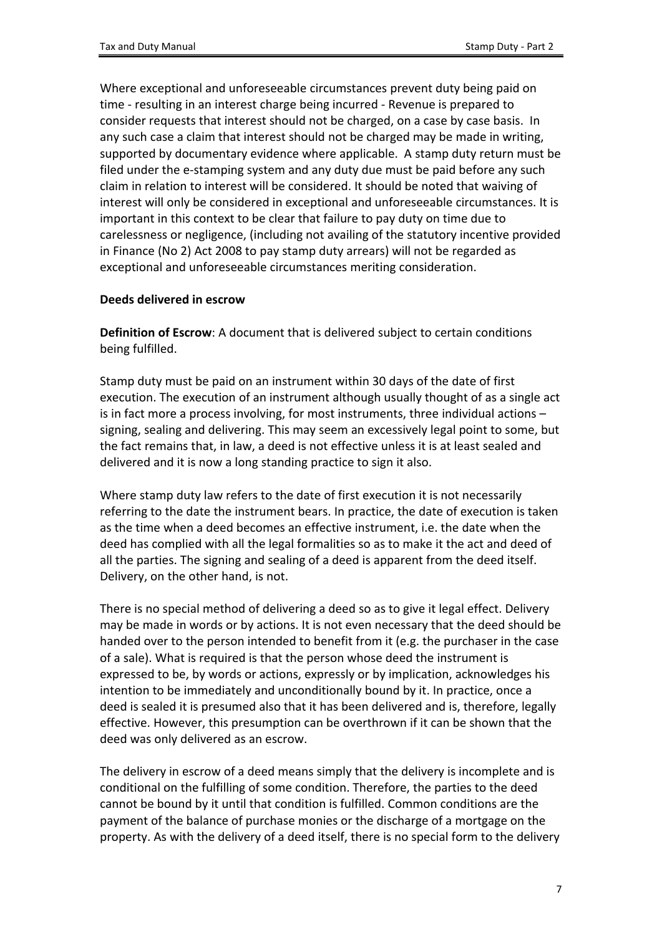Where exceptional and unforeseeable circumstances prevent duty being paid on time - resulting in an interest charge being incurred - Revenue is prepared to consider requests that interest should not be charged, on a case by case basis. In any such case a claim that interest should not be charged may be made in writing, supported by documentary evidence where applicable. A stamp duty return must be filed under the e-stamping system and any duty due must be paid before any such claim in relation to interest will be considered. It should be noted that waiving of interest will only be considered in exceptional and unforeseeable circumstances. It is important in this context to be clear that failure to pay duty on time due to carelessness or negligence, (including not availing of the statutory incentive provided in Finance (No 2) Act 2008 to pay stamp duty arrears) will not be regarded as exceptional and unforeseeable circumstances meriting consideration.

#### **Deeds delivered in escrow**

**Definition of Escrow**: A document that is delivered subject to certain conditions being fulfilled.

Stamp duty must be paid on an instrument within 30 days of the date of first execution. The execution of an instrument although usually thought of as a single act is in fact more a process involving, for most instruments, three individual actions – signing, sealing and delivering. This may seem an excessively legal point to some, but the fact remains that, in law, a deed is not effective unless it is at least sealed and delivered and it is now a long standing practice to sign it also.

Where stamp duty law refers to the date of first execution it is not necessarily referring to the date the instrument bears. In practice, the date of execution is taken as the time when a deed becomes an effective instrument, i.e. the date when the deed has complied with all the legal formalities so as to make it the act and deed of all the parties. The signing and sealing of a deed is apparent from the deed itself. Delivery, on the other hand, is not.

There is no special method of delivering a deed so as to give it legal effect. Delivery may be made in words or by actions. It is not even necessary that the deed should be handed over to the person intended to benefit from it (e.g. the purchaser in the case of a sale). What is required is that the person whose deed the instrument is expressed to be, by words or actions, expressly or by implication, acknowledges his intention to be immediately and unconditionally bound by it. In practice, once a deed is sealed it is presumed also that it has been delivered and is, therefore, legally effective. However, this presumption can be overthrown if it can be shown that the deed was only delivered as an escrow.

The delivery in escrow of a deed means simply that the delivery is incomplete and is conditional on the fulfilling of some condition. Therefore, the parties to the deed cannot be bound by it until that condition is fulfilled. Common conditions are the payment of the balance of purchase monies or the discharge of a mortgage on the property. As with the delivery of a deed itself, there is no special form to the delivery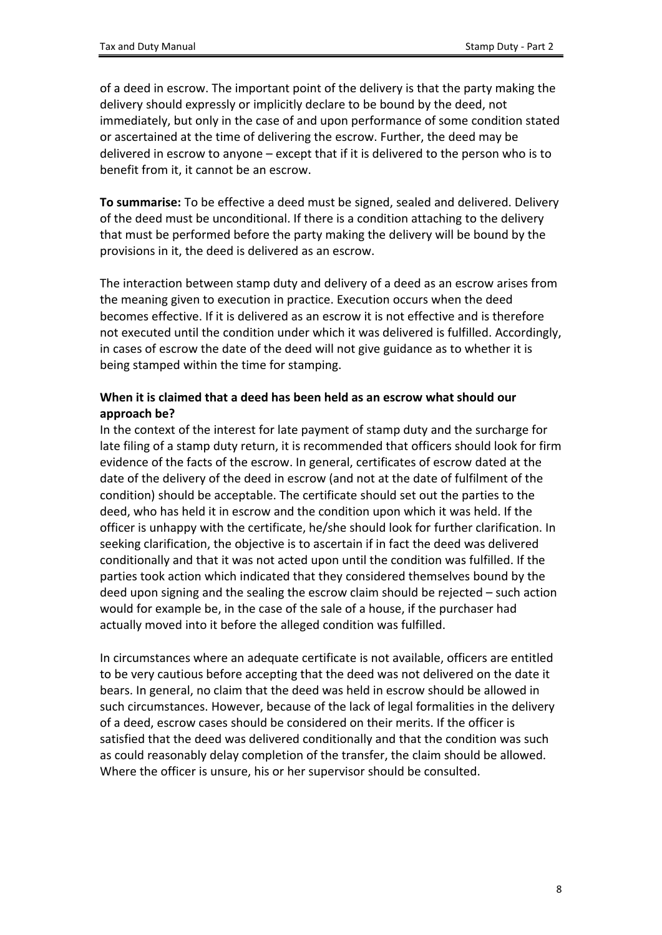of a deed in escrow. The important point of the delivery is that the party making the delivery should expressly or implicitly declare to be bound by the deed, not immediately, but only in the case of and upon performance of some condition stated or ascertained at the time of delivering the escrow. Further, the deed may be delivered in escrow to anyone – except that if it is delivered to the person who is to benefit from it, it cannot be an escrow.

**To summarise:** To be effective a deed must be signed, sealed and delivered. Delivery of the deed must be unconditional. If there is a condition attaching to the delivery that must be performed before the party making the delivery will be bound by the provisions in it, the deed is delivered as an escrow.

The interaction between stamp duty and delivery of a deed as an escrow arises from the meaning given to execution in practice. Execution occurs when the deed becomes effective. If it is delivered as an escrow it is not effective and is therefore not executed until the condition under which it was delivered is fulfilled. Accordingly, in cases of escrow the date of the deed will not give guidance as to whether it is being stamped within the time for stamping.

#### **When it is claimed that a deed has been held as an escrow what should our approach be?**

In the context of the interest for late payment of stamp duty and the surcharge for late filing of a stamp duty return, it is recommended that officers should look for firm evidence of the facts of the escrow. In general, certificates of escrow dated at the date of the delivery of the deed in escrow (and not at the date of fulfilment of the condition) should be acceptable. The certificate should set out the parties to the deed, who has held it in escrow and the condition upon which it was held. If the officer is unhappy with the certificate, he/she should look for further clarification. In seeking clarification, the objective is to ascertain if in fact the deed was delivered conditionally and that it was not acted upon until the condition was fulfilled. If the parties took action which indicated that they considered themselves bound by the deed upon signing and the sealing the escrow claim should be rejected – such action would for example be, in the case of the sale of a house, if the purchaser had actually moved into it before the alleged condition was fulfilled.

In circumstances where an adequate certificate is not available, officers are entitled to be very cautious before accepting that the deed was not delivered on the date it bears. In general, no claim that the deed was held in escrow should be allowed in such circumstances. However, because of the lack of legal formalities in the delivery of a deed, escrow cases should be considered on their merits. If the officer is satisfied that the deed was delivered conditionally and that the condition was such as could reasonably delay completion of the transfer, the claim should be allowed. Where the officer is unsure, his or her supervisor should be consulted.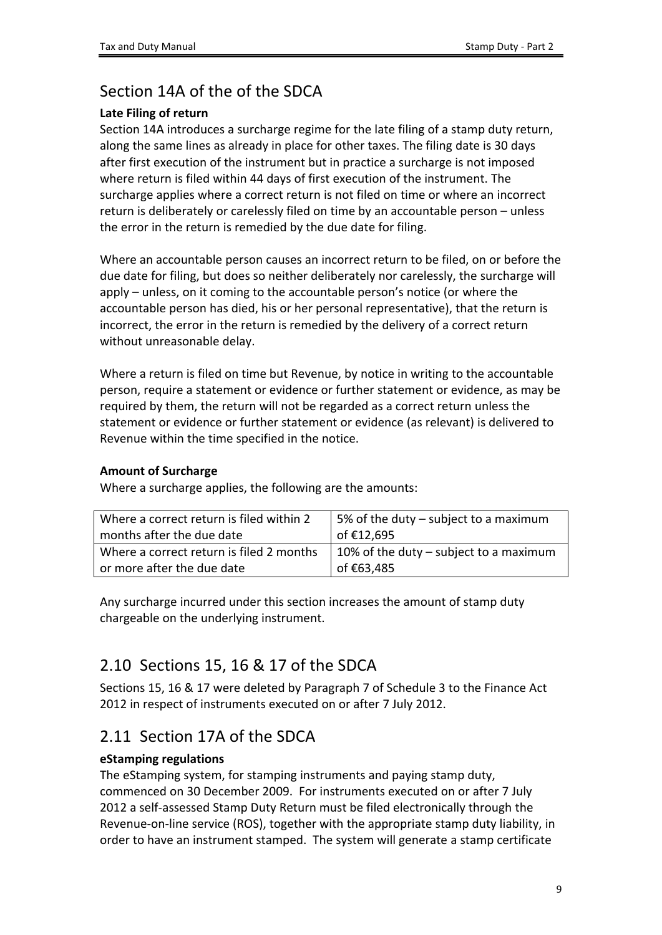### <span id="page-8-0"></span>Section 14A of the of the SDCA

### **Late Filing of return**

Section 14A introduces a surcharge regime for the late filing of a stamp duty return, along the same lines as already in place for other taxes. The filing date is 30 days after first execution of the instrument but in practice a surcharge is not imposed where return is filed within 44 days of first execution of the instrument. The surcharge applies where a correct return is not filed on time or where an incorrect return is deliberately or carelessly filed on time by an accountable person – unless the error in the return is remedied by the due date for filing.

Where an accountable person causes an incorrect return to be filed, on or before the due date for filing, but does so neither deliberately nor carelessly, the surcharge will apply – unless, on it coming to the accountable person's notice (or where the accountable person has died, his or her personal representative), that the return is incorrect, the error in the return is remedied by the delivery of a correct return without unreasonable delay.

Where a return is filed on time but Revenue, by notice in writing to the accountable person, require a statement or evidence or further statement or evidence, as may be required by them, the return will not be regarded as a correct return unless the statement or evidence or further statement or evidence (as relevant) is delivered to Revenue within the time specified in the notice.

#### **Amount of Surcharge**

Where a surcharge applies, the following are the amounts:

| Where a correct return is filed within 2 | 5% of the duty – subject to a maximum  |  |
|------------------------------------------|----------------------------------------|--|
| months after the due date                | of €12,695                             |  |
| Where a correct return is filed 2 months | 10% of the duty – subject to a maximum |  |
| or more after the due date               | of €63,485                             |  |
|                                          |                                        |  |

Any surcharge incurred under this section increases the amount of stamp duty chargeable on the underlying instrument.

### <span id="page-8-1"></span>2.10 Sections 15, 16 & 17 of the SDCA

Sections 15, 16 & 17 were deleted by Paragraph 7 of Schedule 3 to the Finance Act 2012 in respect of instruments executed on or after 7 July 2012.

### <span id="page-8-2"></span>2.11 Section 17A of the SDCA

### **eStamping regulations**

The eStamping system, for stamping instruments and paying stamp duty, commenced on 30 December 2009. For instruments executed on or after 7 July 2012 a self-assessed Stamp Duty Return must be filed electronically through the Revenue-on-line service (ROS), together with the appropriate stamp duty liability, in order to have an instrument stamped. The system will generate a stamp certificate